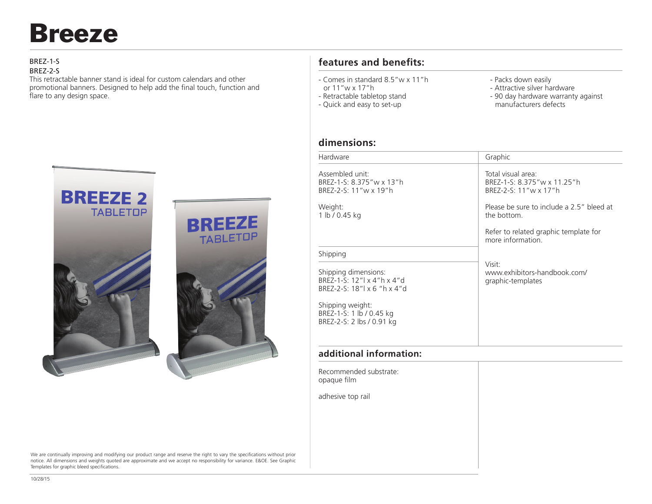# Breeze

#### BREZ-1-S

#### BREZ-2-S

This retractable banner stand is ideal for custom calendars and other promotional banners. Designed to help add the final touch, function and flare to any design space.



We are continually improving and modifying our product range and reserve the right to vary the specifications without prior notice. All dimensions and weights quoted are approximate and we accept no responsibility for variance. E&OE. See Graphic Templates for graphic bleed specifications.

# **features and benefits:**

- Comes in standard 8.5"w x 11"h
- or 11"w x 17"h
- Retractable tabletop stand
- Quick and easy to set-up
- Packs down easily
- Attractive silver hardware
- 90 day hardware warranty against manufacturers defects

### **dimensions:**

| Hardware                                                                            | Graphic                                                                      |
|-------------------------------------------------------------------------------------|------------------------------------------------------------------------------|
| Assembled unit:<br>BREZ-1-S: 8.375"w x 13"h<br>BREZ-2-S: 11"w x 19"h                | Total visual area:<br>BREZ-1-S: 8.375" w x 11.25" h<br>BREZ-2-S: 11"w x 17"h |
| Weight:<br>1 lb / 0.45 kg                                                           | Please be sure to include a 2.5" bleed at<br>the bottom.                     |
|                                                                                     | Refer to related graphic template for<br>more information.                   |
| Shipping                                                                            |                                                                              |
| Shipping dimensions:<br>BREZ-1-S: 12"  x 4"h x 4"d<br>BREZ-2-S: $18''$ x 6 "h x 4"d | Visit:<br>www.exhibitors-handbook.com/<br>graphic-templates                  |
| Shipping weight:<br>BREZ-1-S: 1 lb / 0.45 kg<br>BREZ-2-S: 2 lbs / 0.91 kg           |                                                                              |
|                                                                                     |                                                                              |

## **additional information:**

Recommended substrate: opaque film adhesive top rail